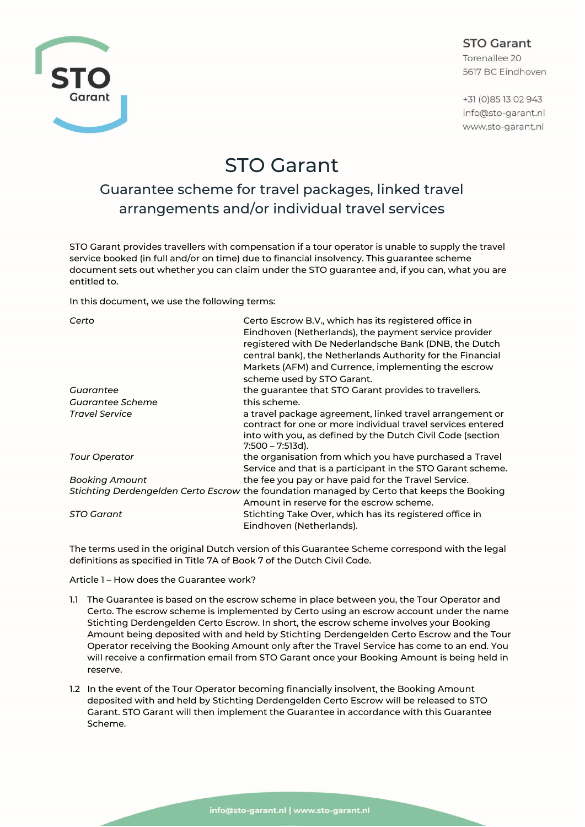## **STO Garant**

Torenallee 20 5617 BC Eindhoven

+31 (0) 85 13 02 943 info@sto-garant.nl www.sto-garant.nl



# STO Garant

# Guarantee scheme for travel packages, linked travel arrangements and/or individual travel services

STO Garant provides travellers with compensation if a tour operator is unable to supply the travel service booked (in full and/or on time) due to financial insolvency. This guarantee scheme document sets out whether you can claim under the STO guarantee and, if you can, what you are entitled to.

In this document, we use the following terms:

| Certo                 | Certo Escrow B.V., which has its registered office in<br>Eindhoven (Netherlands), the payment service provider<br>registered with De Nederlandsche Bank (DNB, the Dutch<br>central bank), the Netherlands Authority for the Financial<br>Markets (AFM) and Currence, implementing the escrow<br>scheme used by STO Garant. |
|-----------------------|----------------------------------------------------------------------------------------------------------------------------------------------------------------------------------------------------------------------------------------------------------------------------------------------------------------------------|
| Guarantee             | the guarantee that STO Garant provides to travellers.                                                                                                                                                                                                                                                                      |
| Guarantee Scheme      | this scheme.                                                                                                                                                                                                                                                                                                               |
| <b>Travel Service</b> | a travel package agreement, linked travel arrangement or<br>contract for one or more individual travel services entered<br>into with you, as defined by the Dutch Civil Code (section<br>$7:500 - 7:513d$ ).                                                                                                               |
| <b>Tour Operator</b>  | the organisation from which you have purchased a Travel                                                                                                                                                                                                                                                                    |
|                       | Service and that is a participant in the STO Garant scheme.                                                                                                                                                                                                                                                                |
| Booking Amount        | the fee you pay or have paid for the Travel Service.                                                                                                                                                                                                                                                                       |
|                       | Stichting Derdengelden Certo Escrow the foundation managed by Certo that keeps the Booking<br>Amount in reserve for the escrow scheme.                                                                                                                                                                                     |
| STO Garant            | Stichting Take Over, which has its registered office in<br>Eindhoven (Netherlands).                                                                                                                                                                                                                                        |

The terms used in the original Dutch version of this Guarantee Scheme correspond with the legal definitions as specified in Title 7A of Book 7 of the Dutch Civil Code.

Article 1 – How does the Guarantee work?

- 1.1 The Guarantee is based on the escrow scheme in place between you, the Tour Operator and Certo. The escrow scheme is implemented by Certo using an escrow account under the name Stichting Derdengelden Certo Escrow. In short, the escrow scheme involves your Booking Amount being deposited with and held by Stichting Derdengelden Certo Escrow and the Tour Operator receiving the Booking Amount only after the Travel Service has come to an end. You will receive a confirmation email from STO Garant once your Booking Amount is being held in reserve.
- 1.2 In the event of the Tour Operator becoming financially insolvent, the Booking Amount deposited with and held by Stichting Derdengelden Certo Escrow will be released to STO Garant. STO Garant will then implement the Guarantee in accordance with this Guarantee Scheme.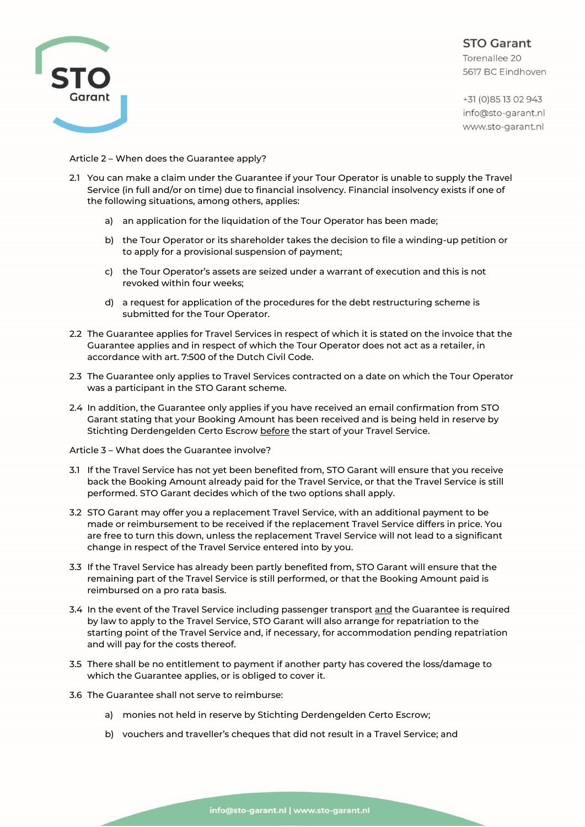

**STO Garant** Torenallee 20 5617 BC Eindhoven

+31 (0) 85 13 02 943 info@sto-garant.nl www.sto-garant.nl

Article 2 – When does the Guarantee apply?

- 2.1 You can make a claim under the Guarantee if your Tour Operator is unable to supply the Travel Service (in full and/or on time) due to financial insolvency. Financial insolvency exists if one of the following situations, among others, applies:
	- a) an application for the liquidation of the Tour Operator has been made;
	- b) the Tour Operator or its shareholder takes the decision to file a winding-up petition or to apply for a provisional suspension of payment;
	- c) the Tour Operator's assets are seized under a warrant of execution and this is not revoked within four weeks;
	- d) a request for application of the procedures for the debt restructuring scheme is submitted for the Tour Operator.
- 2.2 The Guarantee applies for Travel Services in respect of which it is stated on the invoice that the Guarantee applies and in respect of which the Tour Operator does not act as a retailer, in accordance with art. 7:500 of the Dutch Civil Code.
- 2.3 The Guarantee only applies to Travel Services contracted on a date on which the Tour Operator was a participant in the STO Garant scheme.
- 2.4 In addition, the Guarantee only applies if you have received an email confirmation from STO Garant stating that your Booking Amount has been received and is being held in reserve by Stichting Derdengelden Certo Escrow before the start of your Travel Service.

Article 3 – What does the Guarantee involve?

- 3.1 If the Travel Service has not yet been benefited from, STO Garant will ensure that you receive back the Booking Amount already paid for the Travel Service, or that the Travel Service is still performed. STO Garant decides which of the two options shall apply.
- 3.2 STO Garant may offer you a replacement Travel Service, with an additional payment to be made or reimbursement to be received if the replacement Travel Service differs in price. You are free to turn this down, unless the replacement Travel Service will not lead to a significant change in respect of the Travel Service entered into by you.
- 3.3 If the Travel Service has already been partly benefited from, STO Garant will ensure that the remaining part of the Travel Service is still performed, or that the Booking Amount paid is reimbursed on a pro rata basis.
- 3.4 In the event of the Travel Service including passenger transport and the Guarantee is required by law to apply to the Travel Service, STO Garant will also arrange for repatriation to the starting point of the Travel Service and, if necessary, for accommodation pending repatriation and will pay for the costs thereof.
- 3.5 There shall be no entitlement to payment if another party has covered the loss/damage to which the Guarantee applies, or is obliged to cover it.
- 3.6 The Guarantee shall not serve to reimburse:
	- a) monies not held in reserve by Stichting Derdengelden Certo Escrow;
	- b) vouchers and traveller's cheques that did not result in a Travel Service; and